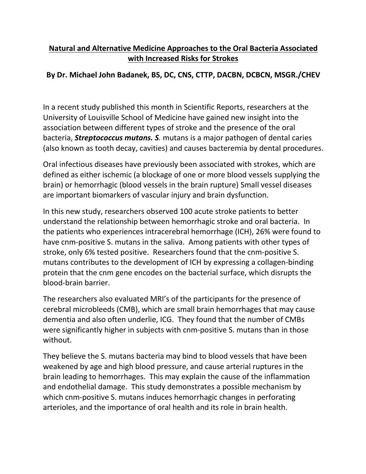## **Natural and Alternative Medicine Approaches to the Oral Bacteria Associated with Increased Risks for Strokes**

## **By Dr. Michael John Badanek, BS, DC, CNS, CTTP, DACBN, DCBCN, MSGR./CHEV**

In a recent study published this month in Scientific Reports, researchers at the University of Louisville School of Medicine have gained new insight into the association between different types of stroke and the presence of the oral bacteria, *Streptococcus mutans. S.* mutans is a major pathogen of dental caries (also known as tooth decay, cavities) and causes bacteremia by dental procedures.

Oral infectious diseases have previously been associated with strokes, which are defined as either ischemic (a blockage of one or more blood vessels supplying the brain) or hemorrhagic (blood vessels in the brain rupture) Small vessel diseases are important biomarkers of vascular injury and brain dysfunction.

In this new study, researchers observed 100 acute stroke patients to better understand the relationship between hemorrhagic stroke and oral bacteria. In the patients who experiences intracerebral hemorrhage (ICH), 26% were found to have cnm-positive S. mutans in the saliva. Among patients with other types of stroke, only 6% tested positive. Researchers found that the cnm-positive S. mutans contributes to the development of ICH by expressing a collagen-binding protein that the cnm gene encodes on the bacterial surface, which disrupts the blood-brain barrier.

The researchers also evaluated MRI's of the participants for the presence of cerebral microbleeds (CMB), which are small brain hemorrhages that may cause dementia and also often underlie, ICG. They found that the number of CMBs were significantly higher in subjects with cnm-positive S. mutans than in those without.

They believe the S. mutans bacteria may bind to blood vessels that have been weakened by age and high blood pressure, and cause arterial ruptures in the brain leading to hemorrhages. This may explain the cause of the inflammation and endothelial damage. This study demonstrates a possible mechanism by which cnm-positive S. mutans induces hemorrhagic changes in perforating arterioles, and the importance of oral health and its role in brain health.